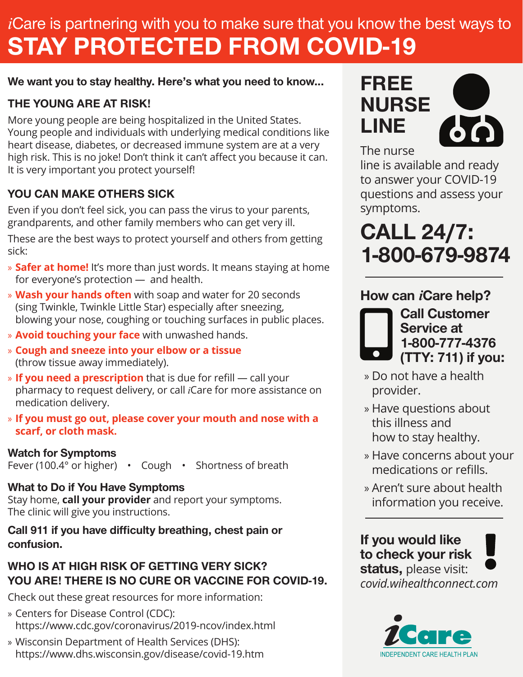# *i*Care is partnering with you to make sure that you know the best ways to STAY PROTECTED FROM COVID-19

#### We want you to stay healthy. Here's what you need to know...

### THE YOUNG ARE AT RISK!

More young people are being hospitalized in the United States. Young people and individuals with underlying medical conditions like heart disease, diabetes, or decreased immune system are at a very high risk. This is no joke! Don't think it can't affect you because it can. It is very important you protect yourself!

## YOU CAN MAKE OTHERS SICK

Even if you don't feel sick, you can pass the virus to your parents, grandparents, and other family members who can get very ill.

These are the best ways to protect yourself and others from getting sick:

- » **Safer at home!** It's more than just words. It means staying at home for everyone's protection — and health.
- » **Wash your hands often** with soap and water for 20 seconds (sing Twinkle, Twinkle Little Star) especially after sneezing, blowing your nose, coughing or touching surfaces in public places.
- » **Avoid touching your face** with unwashed hands.
- » **Cough and sneeze into your elbow or a tissue**  (throw tissue away immediately).
- » **If you need a prescription** that is due for refill call your pharmacy to request delivery, or call *i*Care for more assistance on medication delivery.
- » **If you must go out, please cover your mouth and nose with a scarf, or cloth mask.**

#### Watch for Symptoms

Fever (100.4° or higher) • Cough • Shortness of breath

### What to Do if You Have Symptoms

Stay home, **call your provider** and report your symptoms. The clinic will give you instructions.

#### Call 911 if you have difficulty breathing, chest pain or confusion.

### WHO IS AT HIGH RISK OF GETTING VERY SICK? YOU ARE! THERE IS NO CURE OR VACCINE FOR COVID-19.

Check out these great resources for more information:

- » Centers for Disease Control (CDC): https://www.cdc.gov/coronavirus/2019-ncov/index.html
- » Wisconsin Department of Health Services (DHS): https://www.dhs.wisconsin.gov/disease/covid-19.htm

# FREE NURSE LINE



The nurse

line is available and ready to answer your COVID-19 questions and assess your symptoms.

# CALL 24/7: 1-800-679-9874

# How can *i*Care help?



Call Customer Service at 1-800-777-4376 (TTY: 711) if you:

- » Do not have a health provider.
- » Have questions about this illness and how to stay healthy.
- » Have concerns about your medications or refills.
- » Aren't sure about health information you receive.

If you would like to check your risk status, please visit: *covid.wihealthconnect.com*